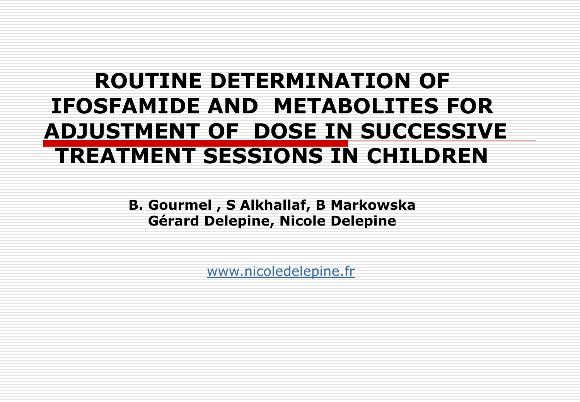### **ROUTINE DETERMINATION OF IFOSFAMIDE AND METABOLITES FOR ADJUSTMENT OF DOSE IN SUCCESSIVE TREATMENT SESSIONS IN CHILDREN**

**B. Gourmel , S Alkhallaf, B Markowska Gérard Delepine, Nicole Delepine**

[www.nicoledelepine.fr](http://www.nicoledelepine.fr/)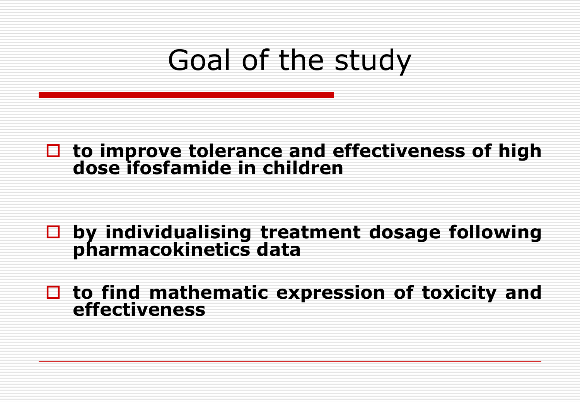# Goal of the study

#### **to improve tolerance and effectiveness of high dose ifosfamide in children**

#### **by individualising treatment dosage following pharmacokinetics data**

#### **to find mathematic expression of toxicity and effectiveness**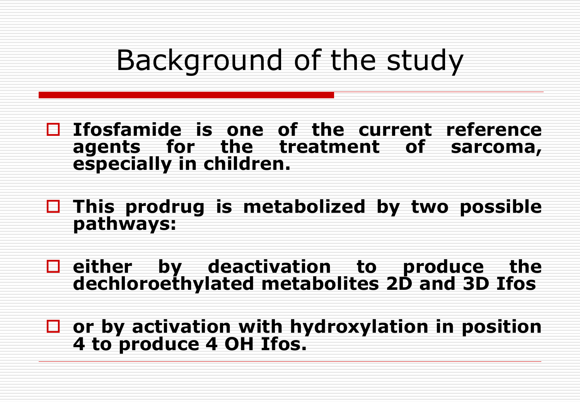# Background of the study

- **Ifosfamide is one of the current reference agents for the treatment of sarcoma, especially in children.**
- **This prodrug is metabolized by two possible pathways:**
- **either by deactivation to produce the dechloroethylated metabolites 2D and 3D Ifos**
- **or by activation with hydroxylation in position 4 to produce 4 OH Ifos.**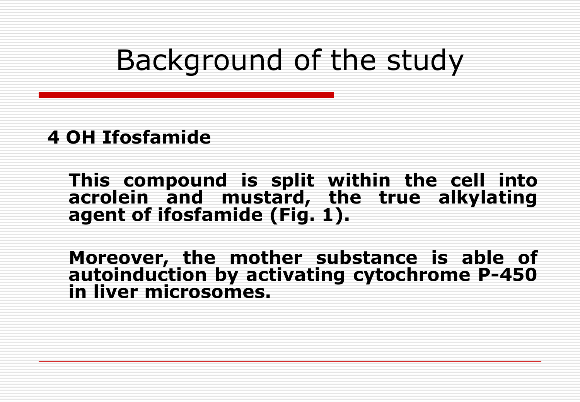# Background of the study

#### **4 OH Ifosfamide**

**This compound is split within the cell into acrolein and mustard, the true alkylating agent of ifosfamide (Fig. 1).** 

**Moreover, the mother substance is able of autoinduction by activating cytochrome P-450 in liver microsomes.**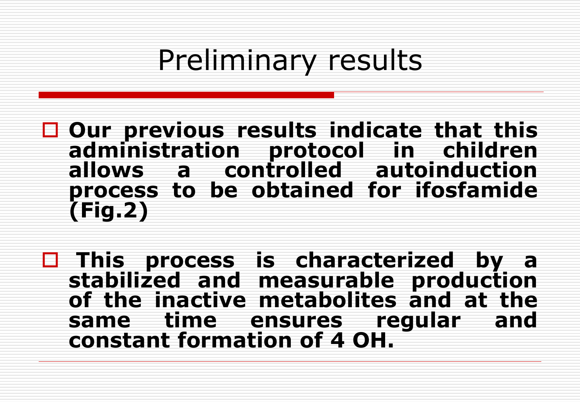# Preliminary results

 **Our previous results indicate that this administration protocol in children allows a controlled autoinduction process to be obtained for ifosfamide (Fig.2)**

 **This process is characterized by a stabilized and measurable production of the inactive metabolites and at the same time ensures regular and constant formation of 4 OH.**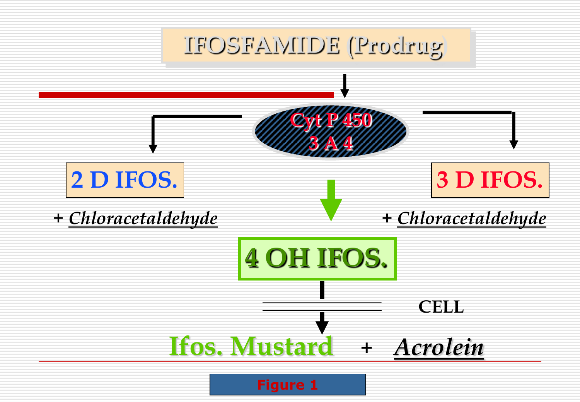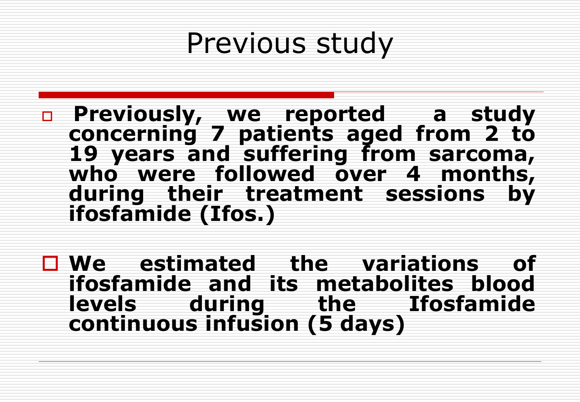- **Previously, we reported a study concerning 7 patients aged from 2 to 19 years and suffering from sarcoma, who were followed over 4 months, during their treatment sessions by ifosfamide (Ifos.)**
- **We estimated the variations of ifosfamide and its metabolites blood levels during the Ifosfamide continuous infusion (5 days)**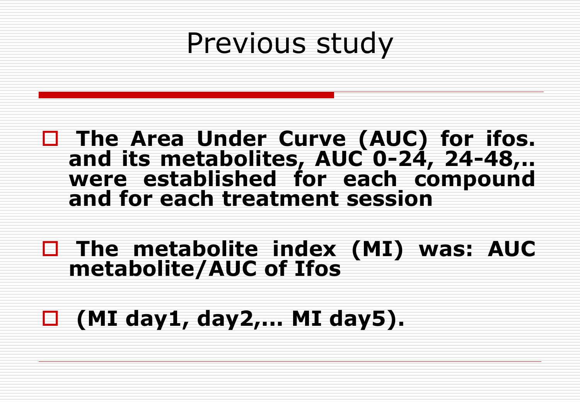#### **The Area Under Curve (AUC) for ifos. and its metabolites, AUC 0-24, 24-48,.. were established for each compound and for each treatment session**

 **The metabolite index (MI) was: AUC metabolite/AUC of Ifos**

### **(MI day1, day2,... MI day5).**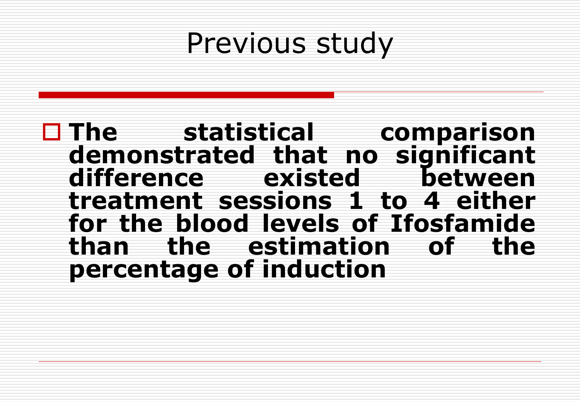**The statistical comparison demonstrated that no significant difference existed between treatment sessions 1 to 4 either for the blood levels of Ifosfamide than the estimation of the percentage of induction**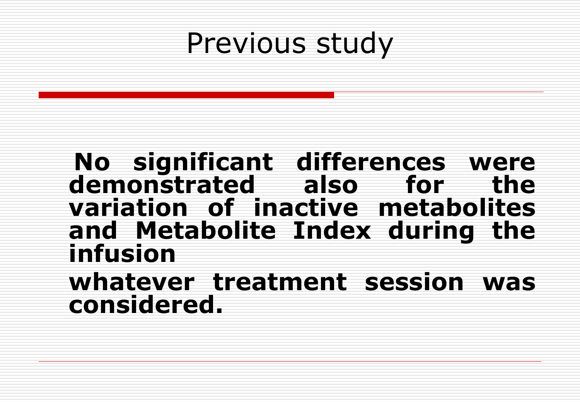#### **No significant differences were demonstrated also for the variation of inactive metabolites and Metabolite Index during the infusion**

**whatever treatment session was considered.**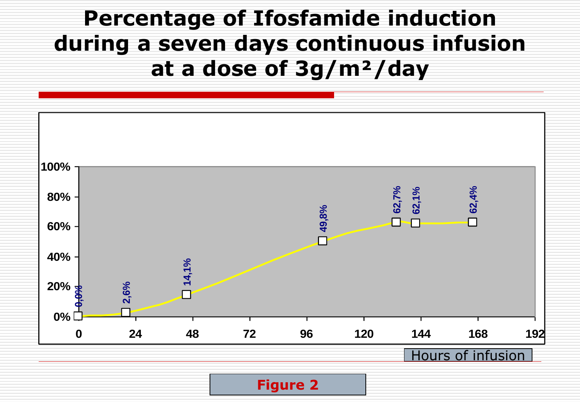### **Percentage of Ifosfamide induction during a seven days continuous infusion at a dose of 3g/m²/day**



**Figure 2**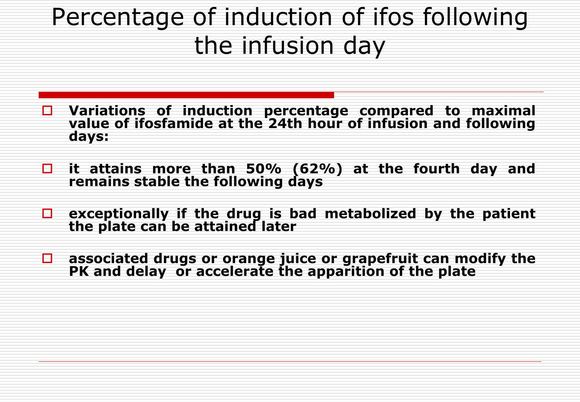### Percentage of induction of ifos following the infusion day

- **Variations of induction percentage compared to maximal value of ifosfamide at the 24th hour of infusion and following days:**
- **it attains more than 50% (62%) at the fourth day and remains stable the following days**
- **exceptionally if the drug is bad metabolized by the patient the plate can be attained later**
- **associated drugs or orange juice or grapefruit can modify the PK and delay or accelerate the apparition of the plate**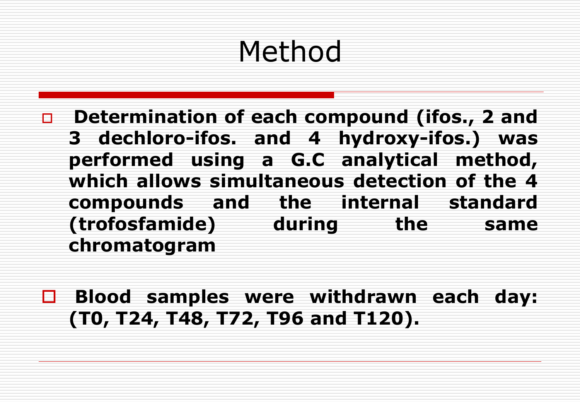# Method

- **Determination of each compound (ifos., 2 and 3 dechloro-ifos. and 4 hydroxy-ifos.) was performed using a G.C analytical method, which allows simultaneous detection of the 4 compounds and the internal standard (trofosfamide) during the same chromatogram**
- **Blood samples were withdrawn each day: (T0, T24, T48, T72, T96 and T120).**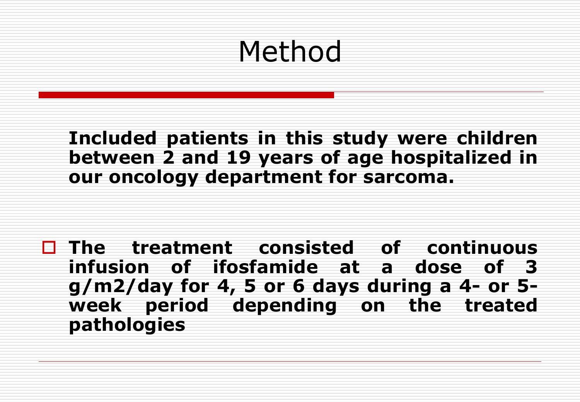# Method

**Included patients in this study were children between 2 and 19 years of age hospitalized in our oncology department for sarcoma.** 

 **The treatment consisted of continuous infusion of ifosfamide at a dose of 3 g/m2/day for 4, 5 or 6 days during a 4- or 5 week period depending on the treated pathologies**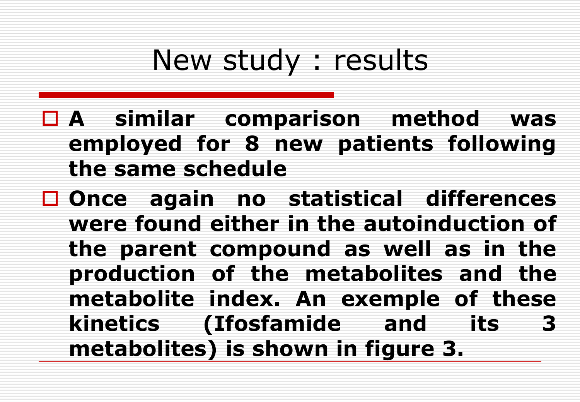# New study : results

- **A similar comparison method was employed for 8 new patients following the same schedule**
- **Once again no statistical differences were found either in the autoinduction of the parent compound as well as in the production of the metabolites and the metabolite index. An exemple of these kinetics (Ifosfamide and its 3 metabolites) is shown in figure 3.**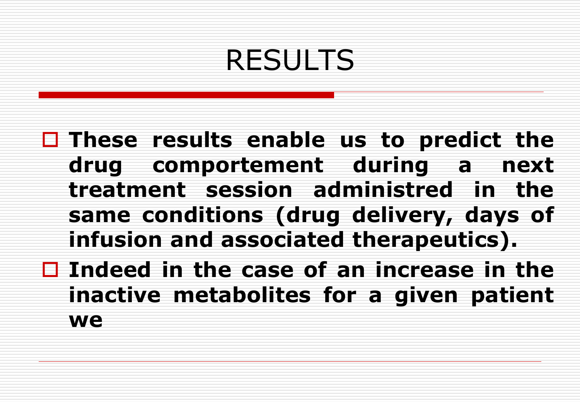# RESULTS

 **These results enable us to predict the drug comportement during a next treatment session administred in the same conditions (drug delivery, days of infusion and associated therapeutics).**

 **Indeed in the case of an increase in the inactive metabolites for a given patient we**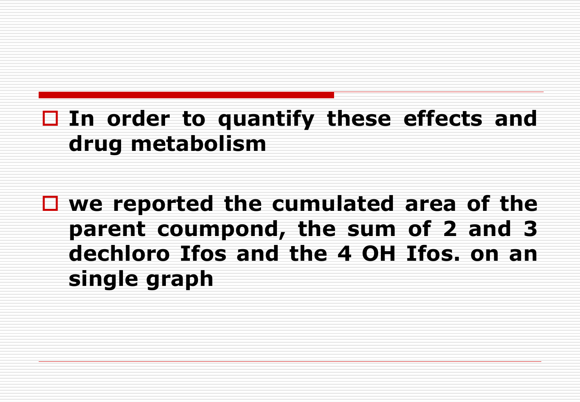### **In order to quantify these effects and drug metabolism**

 **we reported the cumulated area of the parent coumpond, the sum of 2 and 3 dechloro Ifos and the 4 OH Ifos. on an single graph**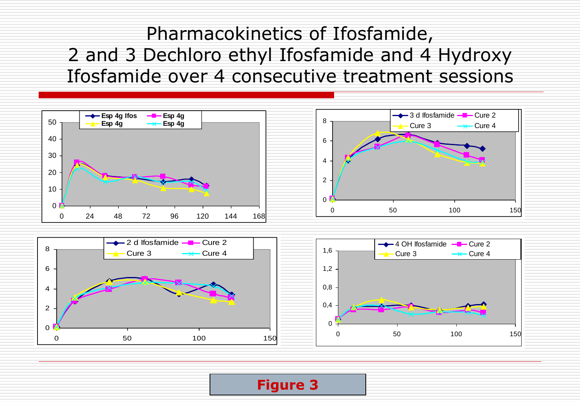#### Pharmacokinetics of Ifosfamide, 2 and 3 Dechloro ethyl Ifosfamide and 4 Hydroxy Ifosfamide over 4 consecutive treatment sessions



#### **Figure 3**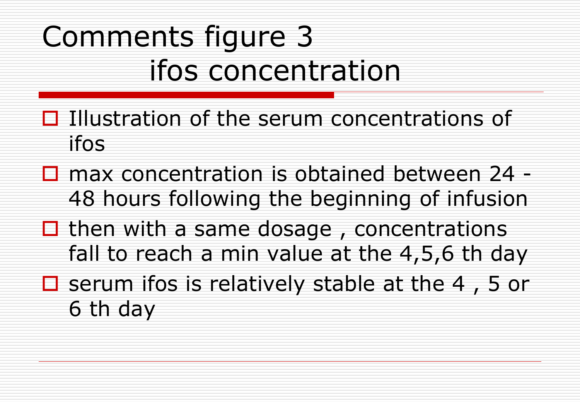# Comments figure 3 ifos concentration

- $\Box$  Illustration of the serum concentrations of ifos
- $\square$  max concentration is obtained between 24 -48 hours following the beginning of infusion
- $\Box$  then with a same dosage, concentrations fall to reach a min value at the 4,5,6 th day
- $\Box$  serum ifos is relatively stable at the 4, 5 or 6 th day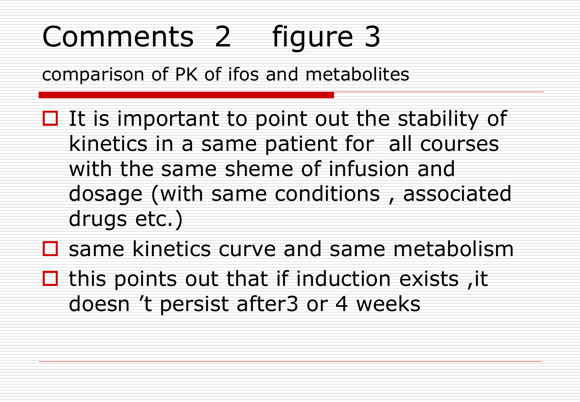# Comments 2 figure 3

comparison of PK of ifos and metabolites

- $\Box$  It is important to point out the stability of kinetics in a same patient for all courses with the same sheme of infusion and dosage (with same conditions , associated drugs etc.)
- $\square$  same kinetics curve and same metabolism
- $\Box$  this points out that if induction exists, it doesn 't persist after3 or 4 weeks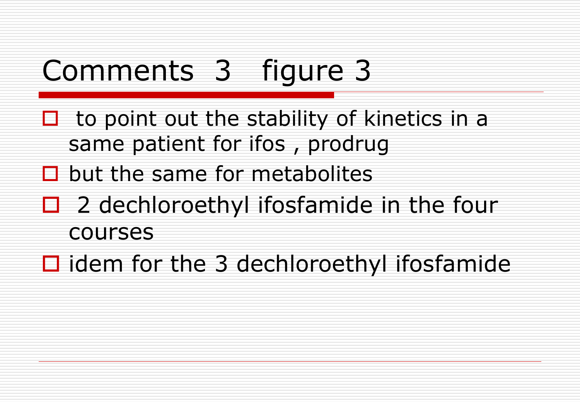# Comments 3 figure 3

- $\Box$  to point out the stability of kinetics in a same patient for ifos , prodrug
- $\Box$  but the same for metabolites
- $\Box$  2 dechloroethyl ifosfamide in the four courses
- $\Box$  idem for the 3 dechloroethyl ifosfamide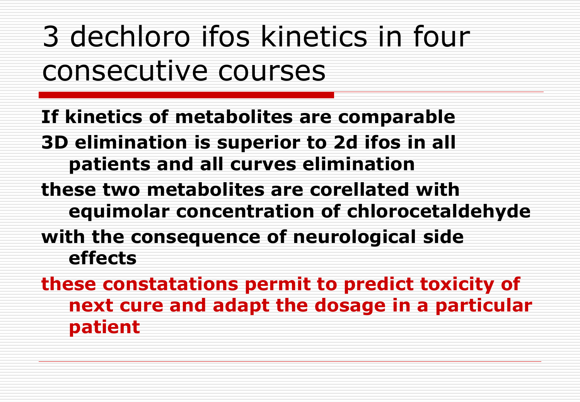3 dechloro ifos kinetics in four consecutive courses

**If kinetics of metabolites are comparable 3D elimination is superior to 2d ifos in all patients and all curves elimination**

**these two metabolites are corellated with equimolar concentration of chlorocetaldehyde** 

**with the consequence of neurological side effects**

**these constatations permit to predict toxicity of next cure and adapt the dosage in a particular patient**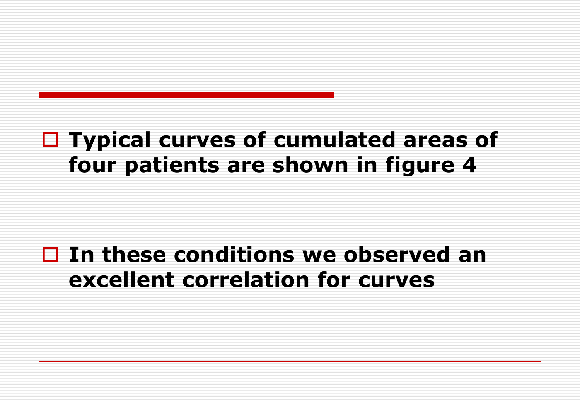### **Typical curves of cumulated areas of four patients are shown in figure 4**

#### **In these conditions we observed an excellent correlation for curves**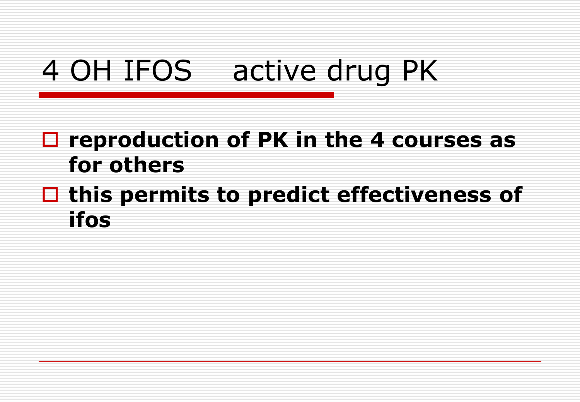# 4 OH IFOS active drug PK

### **reproduction of PK in the 4 courses as for others**

### **this permits to predict effectiveness of ifos**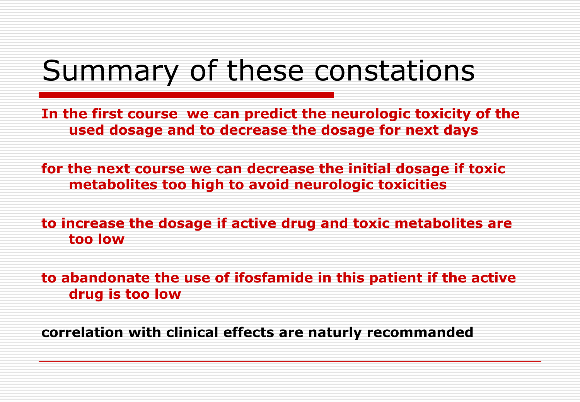# Summary of these constations

**In the first course we can predict the neurologic toxicity of the used dosage and to decrease the dosage for next days**

**for the next course we can decrease the initial dosage if toxic metabolites too high to avoid neurologic toxicities**

**to increase the dosage if active drug and toxic metabolites are too low**

**to abandonate the use of ifosfamide in this patient if the active drug is too low**

**correlation with clinical effects are naturly recommanded**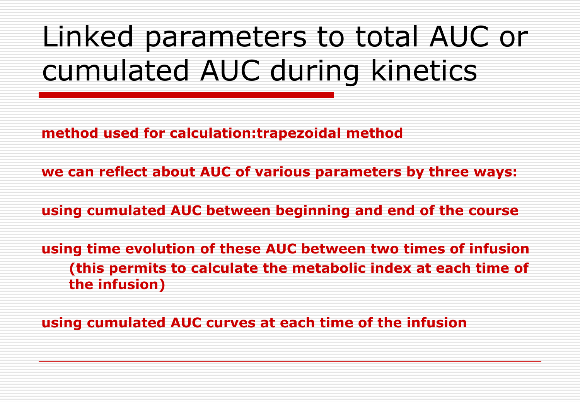# Linked parameters to total AUC or cumulated AUC during kinetics

**method used for calculation:trapezoidal method**

**we can reflect about AUC of various parameters by three ways:**

**using cumulated AUC between beginning and end of the course**

**using time evolution of these AUC between two times of infusion (this permits to calculate the metabolic index at each time of the infusion)**

**using cumulated AUC curves at each time of the infusion**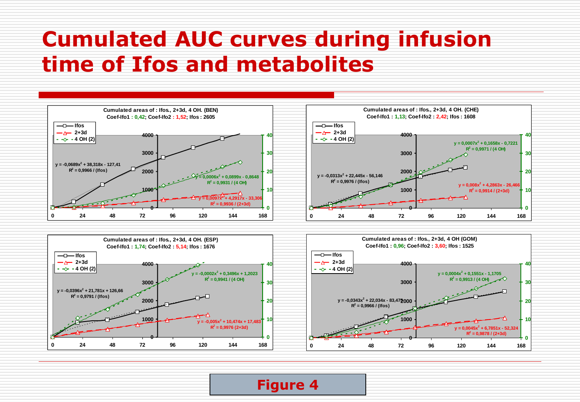### **Cumulated AUC curves during infusion time of Ifos and metabolites**





**Figure 4**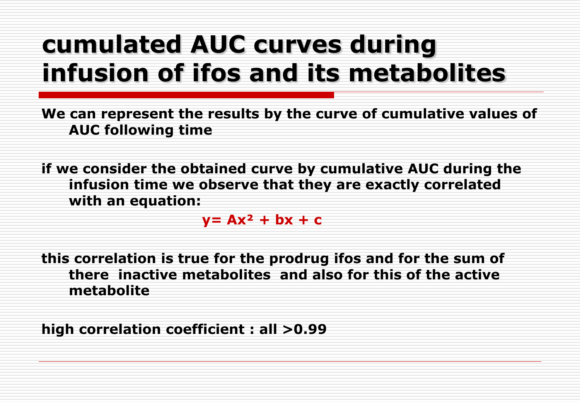## **cumulated AUC curves during infusion of ifos and its metabolites**

**We can represent the results by the curve of cumulative values of AUC following time**

**if we consider the obtained curve by cumulative AUC during the infusion time we observe that they are exactly correlated with an equation:** 

 $y = Ax^2 + bx + c$ 

**this correlation is true for the prodrug ifos and for the sum of there inactive metabolites and also for this of the active metabolite**

**high correlation coefficient : all >0.99**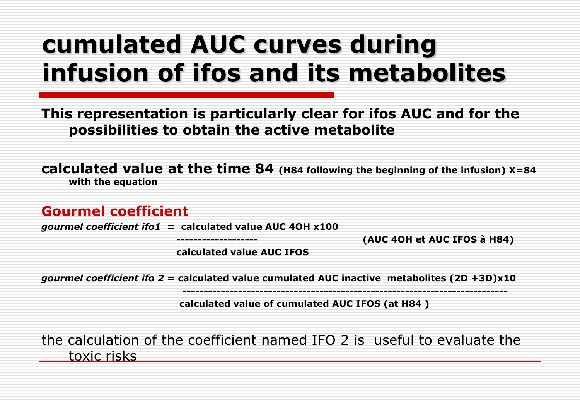## **cumulated AUC curves during infusion of ifos and its metabolites**

**This representation is particularly clear for ifos AUC and for the possibilities to obtain the active metabolite**

**calculated value at the time 84 (H84 following the beginning of the infusion) X=84 with the equation**

#### **Gourmel coefficient**

*gourmel coefficient ifo1* **= calculated value AUC 4OH x100** 

 **------------------- (AUC 4OH et AUC IFOS à H84)**

 **calculated value AUC IFOS**

*gourmel coefficient ifo 2 =* **calculated value cumulated AUC inactive metabolites (2D +3D)x10**

 **----------------------------------------------------------------------------**

 **calculated value of cumulated AUC IFOS (at H84 )**

the calculation of the coefficient named IFO 2 is useful to evaluate the toxic risks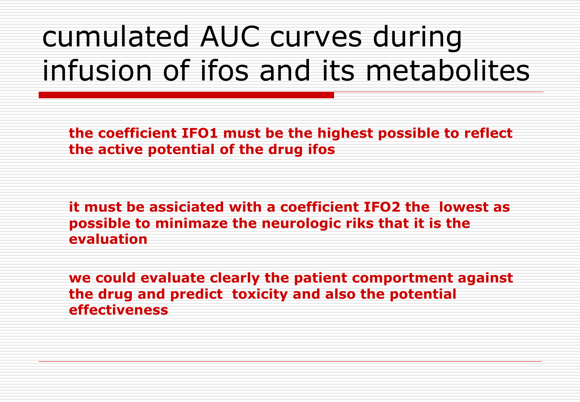# cumulated AUC curves during infusion of ifos and its metabolites

**the coefficient IFO1 must be the highest possible to reflect the active potential of the drug ifos** 

**it must be assiciated with a coefficient IFO2 the lowest as possible to minimaze the neurologic riks that it is the evaluation** 

**we could evaluate clearly the patient comportment against the drug and predict toxicity and also the potential effectiveness**